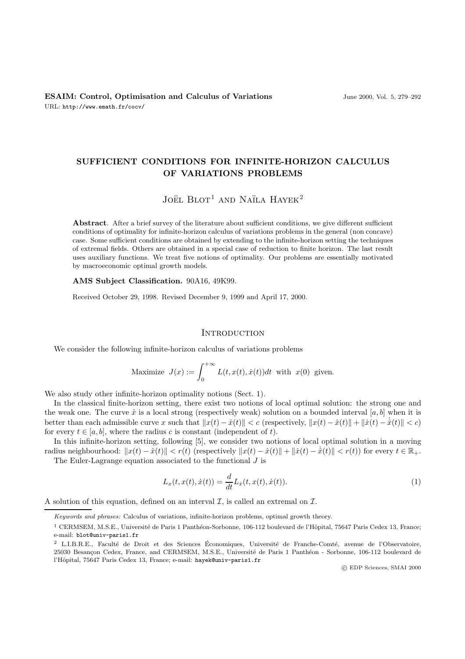# **SUFFICIENT CONDITIONS FOR INFINITE-HORIZON CALCULUS OF VARIATIONS PROBLEMS**

# JOËL  $B$ LOT<sup>1</sup> AND NAÏLA HAYEK<sup>2</sup>

**Abstract**. After a brief survey of the literature about sufficient conditions, we give different sufficient conditions of optimality for infinite-horizon calculus of variations problems in the general (non concave) case. Some sufficient conditions are obtained by extending to the infinite-horizon setting the techniques of extremal fields. Others are obtained in a special case of reduction to finite horizon. The last result uses auxiliary functions. We treat five notions of optimality. Our problems are essentially motivated by macroeconomic optimal growth models.

**AMS Subject Classification.** 90A16, 49K99.

Received October 29, 1998. Revised December 9, 1999 and April 17, 2000.

### **INTRODUCTION**

We consider the following infinite-horizon calculus of variations problems

Maximize 
$$
J(x) := \int_0^{+\infty} L(t, x(t), \dot{x}(t)) dt
$$
 with  $x(0)$  given.

We also study other infinite-horizon optimality notions (Sect. 1).

In the classical finite-horizon setting, there exist two notions of local optimal solution: the strong one and the weak one. The curve  $\hat{x}$  is a local strong (respectively weak) solution on a bounded interval [a, b] when it is better than each admissible curve x such that  $||x(t) - \hat{x}(t)|| < c$  (respectively,  $||x(t) - \hat{x}(t)|| + ||\hat{x}(t) - \hat{x}(t)|| < c$ ) for every  $t \in [a, b]$ , where the radius c is constant (independent of t).

In this infinite-horizon setting, following [5], we consider two notions of local optimal solution in a moving radius neighbourhood:  $||x(t) - \hat{x}(t)|| < r(t)$  (respectively  $||x(t) - \hat{x}(t)|| + ||\hat{x}(t) - \hat{x}(t)|| < r(t)$ ) for every  $t \in \mathbb{R}_+$ . The Euler-Lagrange equation associated to the functional  $J$  is

$$
L_x(t, x(t), \dot{x}(t)) = \frac{d}{dt} L_{\dot{x}}(t, x(t), \dot{x}(t)).
$$
\n(1)

A solution of this equation, defined on an interval  $\mathcal{I}$ , is called an extremal on  $\mathcal{I}$ .

Keywords and phrases: Calculus of variations, infinite-horizon problems, optimal growth theory.

<sup>&</sup>lt;sup>1</sup> CERMSEM, M.S.E., Université de Paris 1 Panthéon-Sorbonne, 106-112 boulevard de l'Hôpital, 75647 Paris Cedex 13, France; e-mail: blot@univ-paris1.fr

<sup>&</sup>lt;sup>2</sup> L.I.B.R.E., Faculté de Droit et des Sciences Économiques, Université de Franche-Comté, avenue de l'Observatoire, 25030 Besançon Cedex, France, and CERMSEM, M.S.E., Université de Paris 1 Panthéon - Sorbonne, 106-112 boulevard de l'Hôpital, 75647 Paris Cedex 13, France; e-mail: hayek@univ-paris1.fr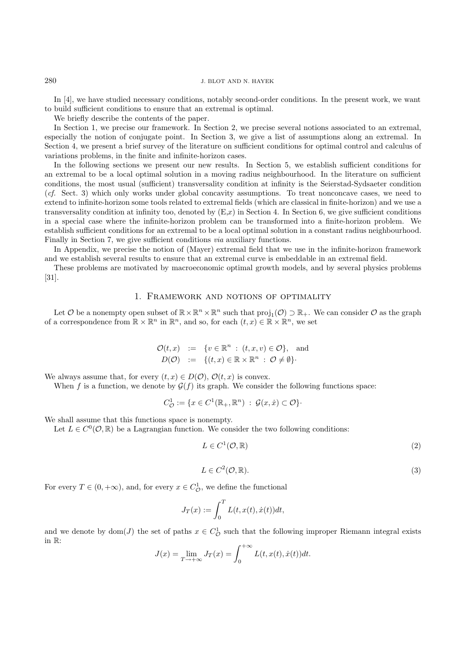In [4], we have studied necessary conditions, notably second-order conditions. In the present work, we want to build sufficient conditions to ensure that an extremal is optimal.

We briefly describe the contents of the paper.

In Section 1, we precise our framework. In Section 2, we precise several notions associated to an extremal, especially the notion of conjugate point. In Section 3, we give a list of assumptions along an extremal. In Section 4, we present a brief survey of the literature on sufficient conditions for optimal control and calculus of variations problems, in the finite and infinite-horizon cases.

In the following sections we present our new results. In Section 5, we establish sufficient conditions for an extremal to be a local optimal solution in a moving radius neighbourhood. In the literature on sufficient conditions, the most usual (sufficient) transversality condition at infinity is the Seierstad-Sydsaeter condition  $(cf. Sect. 3)$  which only works under global concavity assumptions. To treat nonconcave cases, we need to extend to infinite-horizon some tools related to extremal fields (which are classical in finite-horizon) and we use a transversality condition at infinity too, denoted by  $(E,x)$  in Section 4. In Section 6, we give sufficient conditions in a special case where the infinite-horizon problem can be transformed into a finite-horizon problem. We establish sufficient conditions for an extremal to be a local optimal solution in a constant radius neighbourhood. Finally in Section 7, we give sufficient conditions via auxiliary functions.

In Appendix, we precise the notion of (Mayer) extremal field that we use in the infinite-horizon framework and we establish several results to ensure that an extremal curve is embeddable in an extremal field.

These problems are motivated by macroeconomic optimal growth models, and by several physics problems [31].

### 1. Framework and notions of optimality

Let O be a nonempty open subset of  $\mathbb{R}\times\mathbb{R}^n\times\mathbb{R}^n$  such that  $\text{proj}_1(\mathcal{O})\supset\mathbb{R}_+$ . We can consider O as the graph of a correspondence from  $\mathbb{R} \times \mathbb{R}^n$  in  $\mathbb{R}^n$ , and so, for each  $(t, x) \in \mathbb{R} \times \mathbb{R}^n$ , we set

$$
\mathcal{O}(t,x) := \{ v \in \mathbb{R}^n : (t,x,v) \in \mathcal{O} \}, \text{ and}
$$
  

$$
D(\mathcal{O}) := \{ (t,x) \in \mathbb{R} \times \mathbb{R}^n : \mathcal{O} \neq \emptyset \}.
$$

We always assume that, for every  $(t, x) \in D(\mathcal{O}), \mathcal{O}(t, x)$  is convex.

When f is a function, we denote by  $\mathcal{G}(f)$  its graph. We consider the following functions space:

$$
C_{\mathcal{O}}^1 := \{ x \in C^1(\mathbb{R}_+, \mathbb{R}^n) : \mathcal{G}(x, \dot{x}) \subset \mathcal{O} \}.
$$

We shall assume that this functions space is nonempty.

Let  $L \in C^0(\mathcal{O}, \mathbb{R})$  be a Lagrangian function. We consider the two following conditions:

$$
L \in C^1(\mathcal{O}, \mathbb{R})
$$
\n<sup>(2)</sup>

$$
L \in C^2(\mathcal{O}, \mathbb{R}).\tag{3}
$$

For every  $T \in (0, +\infty)$ , and, for every  $x \in C^1_{\mathcal{O}}$ , we define the functional

$$
J_T(x) := \int_0^T L(t, x(t), \dot{x}(t)) dt,
$$

and we denote by dom(J) the set of paths  $x \in C^1_{\mathcal{O}}$  such that the following improper Riemann integral exists in R:

$$
J(x) = \lim_{T \to +\infty} J_T(x) = \int_0^{+\infty} L(t, x(t), \dot{x}(t)) dt.
$$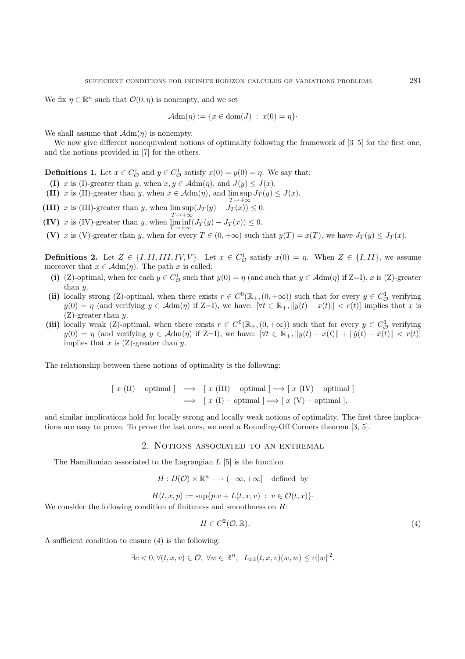We fix  $\eta \in \mathbb{R}^n$  such that  $\mathcal{O}(0, \eta)$  is nonempty, and we set

$$
\mathcal{A}\text{dm}(\eta) := \{x \in \text{dom}(J) : x(0) = \eta\}.
$$

We shall assume that  $\mathcal{A}dm(\eta)$  is nonempty.

We now give different nonequivalent notions of optimality following the framework of  $[3-5]$  for the first one, and the notions provided in [7] for the others.

**Definitions 1.** Let  $x \in C^1_{\mathcal{O}}$  and  $y \in C^1_{\mathcal{O}}$  satisfy  $x(0) = y(0) = \eta$ . We say that:

- **(I)** x is (I)-greater than y, when  $x, y \in \mathcal{A} dm(\eta)$ , and  $J(y) \leq J(x)$ .
- **(II)** x is (II)-greater than y, when  $x \in \mathcal{A}dm(\eta)$ , and  $\limsup J_T(y) \leq J(x)$ .

**(III)** x is (III)-greater than y, when  $\limsup(J_T(y) - J_T(x))$  $(J_T(y) - J_T(x)) \leq 0.$ 

 $T\rightarrow+\infty$ **(IV)** x is (IV)-greater than y, when  $\lim_{T\to\infty} \inf_{y \in T} (J_T(y) - J_T(x)) \leq 0$ .

**(V)** x is (V)-greater than y, when for every  $T \in (0, +\infty)$  such that  $y(T) = x(T)$ , we have  $J_T(y) \leq J_T(x)$ .

**Definitions 2.** Let  $Z \in \{I, II, III, IV, V\}$ . Let  $x \in C^1_{\mathcal{O}}$  satisfy  $x(0) = \eta$ . When  $Z \in \{I, II\}$ , we assume moreover that  $x \in \mathcal{A}dm(\eta)$ . The path x is called:

- (i) (Z)-optimal, when for each  $y \in C^1_{\mathcal{O}}$  such that  $y(0) = \eta$  (and such that  $y \in \mathcal{A}dm(\eta)$  if Z=I), x is (Z)-greater than y.
- (ii) locally strong (Z)-optimal, when there exists  $r \in C^0(\mathbb{R}_+, (0, +\infty))$  such that for every  $y \in C^1_{\mathcal{O}}$  verifying  $y(0) = \eta$  (and verifying  $y \in \mathcal{A}dm(\eta)$  if Z=I), we have:  $|\forall t \in \mathbb{R}_+$ ,  $||y(t) - x(t)|| < r(t)$  implies that x is (Z)-greater than y.
- (iii) locally weak (Z)-optimal, when there exists  $r \in C^0(\mathbb{R}_+, (0, +\infty))$  such that for every  $y \in C^1$  verifying  $y(0) = \eta$  (and verifying  $y \in \mathcal{A} dm(\eta)$  if Z=I), we have:  $[\forall t \in \mathbb{R}_+, ||y(t) - x(t)|| + ||\dot{y}(t) - \dot{x}(t)|| < r(t)$ implies that x is  $(Z)$ -greater than y.

The relationship between these notions of optimality is the following:

$$
[x (\text{II}) - \text{optimal}] \implies [x (\text{III}) - \text{optimal}] \implies [x (\text{IV}) - \text{optimal}]
$$
  

$$
\implies [x (\text{I}) - \text{optimal}] \implies [x (\text{V}) - \text{optimal}],
$$

and similar implications hold for locally strong and locally weak notions of optimality. The first three implications are easy to prove. To prove the last ones, we need a Rounding-Off Corners theorem [3, 5].

### 2. Notions associated to an extremal

The Hamiltonian associated to the Lagrangian  $L$  [5] is the function

 $H: D(\mathcal{O}) \times \mathbb{R}^n \longrightarrow (-\infty, +\infty]$  defined by

 $H(t, x, p) := \sup\{p \cdot v + L(t, x, v) : v \in \mathcal{O}(t, x)\}.$ 

We consider the following condition of finiteness and smoothness on  $H$ :

$$
H \in C^2(\mathcal{O}, \mathbb{R}).\tag{4}
$$

A sufficient condition to ensure (4) is the following:

$$
\exists c < 0, \forall (t, x, v) \in \mathcal{O}, \ \forall w \in \mathbb{R}^n, \ L_{\dot{x}\dot{x}}(t, x, v)(w, w) \leq c \|w\|^2.
$$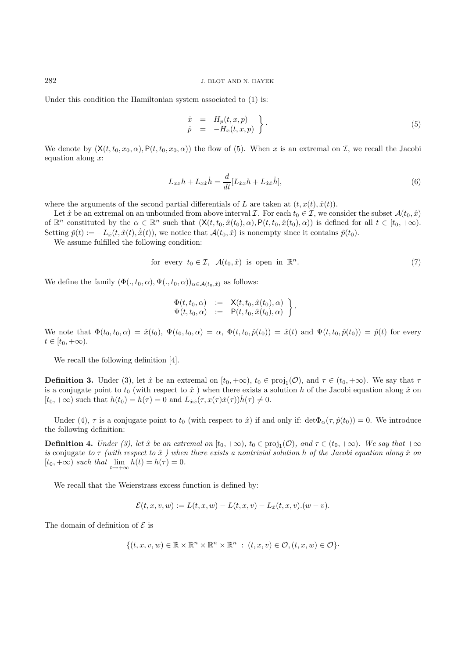Under this condition the Hamiltonian system associated to (1) is:

$$
\begin{array}{rcl}\n\dot{x} & = & H_p(t, x, p) \\
\dot{p} & = & -H_x(t, x, p)\n\end{array}\n\bigg\} \tag{5}
$$

We denote by  $(X(t, t_0, x_0, \alpha), P(t, t_0, x_0, \alpha))$  the flow of (5). When x is an extremal on  $\mathcal{I}$ , we recall the Jacobi equation along  $x$ :

$$
L_{xx}h + L_{x\dot{x}}\dot{h} = \frac{d}{dt}[L_{\dot{x}x}h + L_{\dot{x}\dot{x}}\dot{h}],
$$
\n(6)

where the arguments of the second partial differentials of L are taken at  $(t, x(t), \dot{x}(t))$ .

Let  $\hat{x}$  be an extremal on an unbounded from above interval  $\mathcal{I}$ . For each  $t_0 \in \mathcal{I}$ , we consider the subset  $\mathcal{A}(t_0, \hat{x})$ of  $\mathbb{R}^n$  constituted by the  $\alpha \in \mathbb{R}^n$  such that  $(\mathsf{X}(t, t_0, \hat{x}(t_0), \alpha), \mathsf{P}(t, t_0, \hat{x}(t_0), \alpha))$  is defined for all  $t \in [t_0, +\infty)$ . Setting  $\hat{p}(t) := -L_{\hat{x}}(t, \hat{x}(t), \dot{x}(t)),$  we notice that  $\mathcal{A}(t_0, \hat{x})$  is nonempty since it contains  $\hat{p}(t_0)$ .

We assume fulfilled the following condition:

for every 
$$
t_0 \in \mathcal{I}
$$
,  $\mathcal{A}(t_0, \hat{x})$  is open in  $\mathbb{R}^n$ . (7)

We define the family  $(\Phi(., t_0, \alpha), \Psi(., t_0, \alpha))_{\alpha \in \mathcal{A}(t_0, \hat{x})}$  as follows:

$$
\begin{array}{rcl}\n\Phi(t,t_0,\alpha) & := & \mathsf{X}(t,t_0,\hat{x}(t_0),\alpha) \\
\Psi(t,t_0,\alpha) & := & \mathsf{P}(t,t_0,\hat{x}(t_0),\alpha)\n\end{array}\n\bigg\}.
$$

We note that  $\Phi(t_0, t_0, \alpha) = \hat{x}(t_0)$ ,  $\Psi(t_0, t_0, \alpha) = \alpha$ ,  $\Phi(t, t_0, \hat{p}(t_0)) = \hat{x}(t)$  and  $\Psi(t, t_0, \hat{p}(t_0)) = \hat{p}(t)$  for every  $t \in [t_0, +\infty).$ 

We recall the following definition [4].

**Definition 3.** Under (3), let  $\hat{x}$  be an extremal on  $[t_0, +\infty)$ ,  $t_0 \in \text{proj}_1(\mathcal{O})$ , and  $\tau \in (t_0, +\infty)$ . We say that  $\tau$ is a conjugate point to  $t_0$  (with respect to  $\hat{x}$ ) when there exists a solution h of the Jacobi equation along  $\hat{x}$  on  $[t_0, +\infty)$  such that  $h(t_0) = h(\tau) = 0$  and  $L_{xx}(\tau, x(\tau)\dot{x}(\tau))h(\tau) \neq 0$ .

Under (4),  $\tau$  is a conjugate point to  $t_0$  (with respect to  $\hat{x}$ ) if and only if:  $\det \Phi_\alpha(\tau, \hat{p}(t_0)) = 0$ . We introduce the following definition:

**Definition 4.** Under (3), let  $\hat{x}$  be an extremal on  $[t_0, +\infty)$ ,  $t_0 \in \text{proj}_1(\mathcal{O})$ , and  $\tau \in (t_0, +\infty)$ . We say that  $+\infty$ is conjugate to  $\tau$  (with respect to  $\hat{x}$ ) when there exists a nontrivial solution h of the Jacobi equation along  $\hat{x}$  on  $[t_0, +\infty)$  such that  $\lim_{t \to +\infty} h(t) = h(\tau) = 0.$ 

We recall that the Weierstrass excess function is defined by:

$$
\mathcal{E}(t, x, v, w) := L(t, x, w) - L(t, x, v) - L_x(t, x, v) . (w - v).
$$

The domain of definition of  $\mathcal E$  is

$$
\{(t, x, v, w) \in \mathbb{R} \times \mathbb{R}^n \times \mathbb{R}^n \times \mathbb{R}^n : (t, x, v) \in \mathcal{O}, (t, x, w) \in \mathcal{O}\}.
$$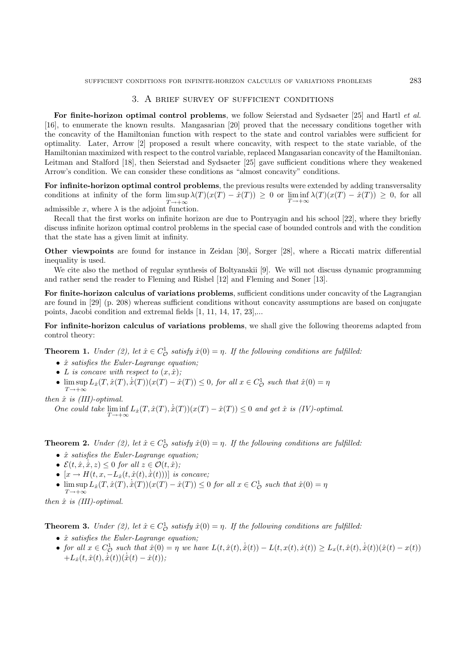### 3. A brief survey of sufficient conditions

**For finite-horizon optimal control problems**, we follow Seierstad and Sydsaeter [25] and Hartl et al. [16], to enumerate the known results. Mangasarian [20] proved that the necessary conditions together with the concavity of the Hamiltonian function with respect to the state and control variables were sufficient for optimality. Later, Arrow [2] proposed a result where concavity, with respect to the state variable, of the Hamiltonian maximized with respect to the control variable, replaced Mangasarian concavity of the Hamiltonian. Leitman and Stalford [18], then Seierstad and Sydsaeter [25] gave sufficient conditions where they weakened Arrow's condition. We can consider these conditions as "almost concavity" conditions.

**For infinite-horizon optimal control problems**, the previous results were extended by adding transversality conditions at infinity of the form  $\limsup_{T \to +\infty} \lambda(T)(x(T) - \hat{x}(T)) \geq 0$  or  $\liminf_{T \to +\infty} \lambda(T)(x(T) - \hat{x}(T)) \geq 0$ , for all  $T\rightarrow+\infty$ admissible  $x$ , where  $\lambda$  is the adjoint function.

Recall that the first works on infinite horizon are due to Pontryagin and his school [22], where they briefly discuss infinite horizon optimal control problems in the special case of bounded controls and with the condition that the state has a given limit at infinity.

**Other viewpoints** are found for instance in Zeidan [30], Sorger [28], where a Riccati matrix differential inequality is used.

We cite also the method of regular synthesis of Boltyanskii [9]. We will not discuss dynamic programming and rather send the reader to Fleming and Rishel [12] and Fleming and Soner [13].

**For finite-horizon calculus of variations problems**, sufficient conditions under concavity of the Lagrangian are found in [29] (p. 208) whereas sufficient conditions without concavity assumptions are based on conjugate points, Jacobi condition and extremal fields [1, 11, 14, 17, 23],...

**For infinite-horizon calculus of variations problems**, we shall give the following theorems adapted from control theory:

**Theorem 1.** Under (2), let  $\hat{x} \in C^1_{\mathcal{O}}$  satisfy  $\hat{x}(0) = \eta$ . If the following conditions are fulfilled:

- $\hat{x}$  satisfies the Euler-Lagrange equation;
- L is concave with respect to  $(x, \dot{x})$ ;
- $\limsup_{T \to +\infty} L_x(T, \hat{x}(T), \dot{\hat{x}}(T))(x(T) \hat{x}(T)) \leq 0$ , for all  $x \in C^1_{\mathcal{O}}$  such that  $\hat{x}(0) = \eta$  $T\rightarrow+\infty$

then  $\hat{x}$  is (III)-optimal.

One could take  $\liminf_{T \to +\infty} L_{\hat{x}}(T, \hat{x}(T), \dot{\hat{x}}(T))(x(T) - \hat{x}(T)) \leq 0$  and get  $\hat{x}$  is (IV)-optimal.

**Theorem 2.** Under (2), let  $\hat{x} \in C^1_{\mathcal{O}}$  satisfy  $\hat{x}(0) = \eta$ . If the following conditions are fulfilled:

- $\hat{x}$  satisfies the Euler-Lagrange equation;
- $\mathcal{E}(t, \hat{x}, \dot{\hat{x}}, z) \leq 0$  for all  $z \in \mathcal{O}(t, \hat{x})$ ;
- $[x \to H(t, x, -L_{\dot{x}}(t, \hat{x}(t), \dot{x}(t))))$  is concave;
- $\limsup_{T \to +\infty} L_x(T, \hat{x}(T), \dot{\hat{x}}(T))(x(T) \hat{x}(T)) \leq 0$  for all  $x \in C^1_{\mathcal{O}}$  such that  $\hat{x}(0) = \eta$  $T\rightarrow+\infty$

then  $\hat{x}$  is (III)-optimal.

**Theorem 3.** Under (2), let  $\hat{x} \in C^1_{\mathcal{O}}$  satisfy  $\hat{x}(0) = \eta$ . If the following conditions are fulfilled:

- $\hat{x}$  satisfies the Euler-Lagrange equation;
- for all  $x \in C^1_{\mathcal{O}}$  such that  $\hat{x}(0) = \eta$  we have  $L(t, \hat{x}(t), \dot{x}(t)) L(t, x(t), \dot{x}(t)) \geq L_x(t, \hat{x}(t), \dot{x}(t))(\hat{x}(t) x(t))$  $+L_{\dot{x}}(t, \hat{x}(t), \dot{\hat{x}}(t))(\dot{\hat{x}}(t) - \dot{x}(t));$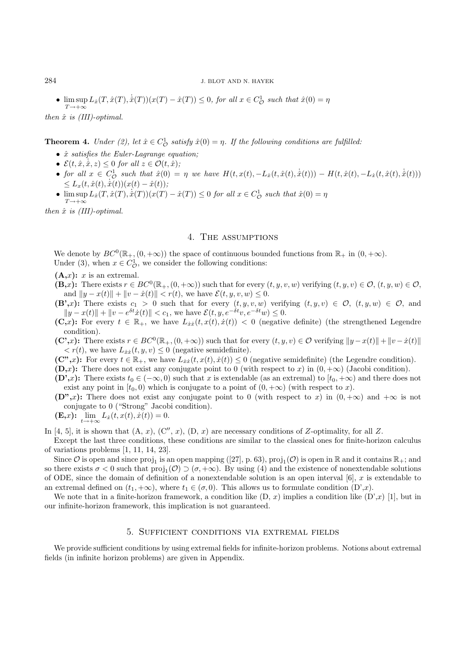### 284 J. BLOT AND N. HAYEK

•  $\limsup_{T \to +\infty} L_x(T, \hat{x}(T), \dot{\hat{x}}(T))(x(T) - \hat{x}(T)) \leq 0$ , for all  $x \in C^1_{\mathcal{O}}$  such that  $\hat{x}(0) = \eta$  $T\rightarrow+\infty$ 

then  $\hat{x}$  is (III)-optimal.

**Theorem 4.** Under (2), let  $\hat{x} \in C^1_{\mathcal{O}}$  satisfy  $\hat{x}(0) = \eta$ . If the following conditions are fulfilled:

- $\hat{x}$  satisfies the Euler-Lagrange equation;
- $\mathcal{E}(t, \hat{x}, \dot{\hat{x}}, z) \leq 0$  for all  $z \in \mathcal{O}(t, \hat{x})$ ;
- for all  $x \in C^1_{\mathcal{O}}$  such that  $\hat{x}(0) = \eta$  we have  $H(t, x(t), -L_{\dot{x}}(t, \hat{x}(t), \dot{x}(t))) H(t, \hat{x}(t), -L_{\dot{x}}(t, \hat{x}(t), \dot{x}(t)))$  $\leq L_x(t, \hat{x}(t), \dot{\hat{x}(t)})(x(t) - \hat{x}(t));$
- $\limsup_{T \to +\infty} L_x(T, \hat{x}(T), \dot{\hat{x}}(T))(x(T) \hat{x}(T)) \leq 0$  for all  $x \in C^1_{\mathcal{O}}$  such that  $\hat{x}(0) = \eta$  $T\rightarrow+\infty$

then  $\hat{x}$  is (III)-optimal.

## 4. The assumptions

We denote by  $BC^0(\mathbb{R}_+, (0, +\infty))$  the space of continuous bounded functions from  $\mathbb{R}_+$  in  $(0, +\infty)$ . Under (3), when  $x \in C^1_{\mathcal{O}}$ , we consider the following conditions:

- $(A,x)$ : x is an extremal.
- $(\mathbf{B},x)$ : There exists  $r \in BC^0(\mathbb{R}_+, (0, +\infty))$  such that for every  $(t, y, v, w)$  verifying  $(t, y, v) \in \mathcal{O}$ ,  $(t, y, w) \in \mathcal{O}$ , and  $||y - x(t)|| + ||v - x(t)|| < r(t)$ , we have  $\mathcal{E}(t, y, v, w) \leq 0$ .
- **(B',x):** There exists  $c_1 > 0$  such that for every  $(t, y, v, w)$  verifying  $(t, y, v) \in \mathcal{O}$ ,  $(t, y, w) \in \mathcal{O}$ , and  $||y - x(t)|| + ||v - e^{\delta t} \dot{x}(t)|| < c_1$ , we have  $\mathcal{E}(t, y, e^{-\delta t} v, e^{-\delta t} w) \leq 0$ .
- **(C,x):** For every  $t \in \mathbb{R}_+$ , we have  $L_{\dot{x}\dot{x}}(t, x(t), \dot{x}(t)) < 0$  (negative definite) (the strengthened Legendre condition).

**(C',x):** There exists  $r \in BC^0(\mathbb{R}_+, (0, +\infty))$  such that for every  $(t, y, v) \in \mathcal{O}$  verifying  $||y - x(t)|| + ||v - \dot{x}(t)||$  $\langle r(t), \text{ we have } L_{\dot{x}\dot{x}}(t, y, v) \leq 0 \text{ (negative semidefinite)}.$ 

 $(\mathbf{C}^*,x)$ : For every  $t \in \mathbb{R}_+$ , we have  $L_{\dot{x}\dot{x}}(t, x(t), \dot{x}(t)) \leq 0$  (negative semidefinite) (the Legendre condition).

 $(D, x)$ : There does not exist any conjugate point to 0 (with respect to x) in  $(0, +\infty)$  (Jacobi condition).

 $(D^{\prime},x)$ : There exists  $t_0 \in (-\infty,0)$  such that x is extendable (as an extremal) to  $[t_0,+\infty)$  and there does not exist any point in  $[t_0, 0)$  which is conjugate to a point of  $(0, +\infty)$  (with respect to x).

 $(D^{\prime\prime},x)$ : There does not exist any conjugate point to 0 (with respect to x) in  $(0, +\infty)$  and  $+\infty$  is not conjugate to 0 ("Strong" Jacobi condition).

(E,x): 
$$
\lim_{t \to +\infty} L_{\dot{x}}(t, x(t), \dot{x}(t)) = 0.
$$

In [4, 5], it is shown that  $(A, x)$ ,  $(C'', x)$ ,  $(D, x)$  are necessary conditions of Z-optimality, for all Z.

Except the last three conditions, these conditions are similar to the classical ones for finite-horizon calculus of variations problems [1, 11, 14, 23].

Since  $\mathcal O$  is open and since proj<sub>1</sub> is an open mapping ([27], p. 63), proj<sub>1</sub>( $\mathcal O$ ) is open in  $\mathbb R$  and it contains  $\mathbb R_+$ ; and so there exists  $\sigma < 0$  such that  $proj_1(\mathcal{O}) \supset (\sigma, +\infty)$ . By using (4) and the existence of nonextendable solutions of ODE, since the domain of definition of a nonextendable solution is an open interval  $[6]$ , x is extendable to an extremal defined on  $(t_1, +\infty)$ , where  $t_1 \in (\sigma, 0)$ . This allows us to formulate condition  $(D', x)$ .

We note that in a finite-horizon framework, a condition like  $(D, x)$  implies a condition like  $(D',x)$  [1], but in our infinite-horizon framework, this implication is not guaranteed.

### 5. Sufficient conditions via extremal fields

We provide sufficient conditions by using extremal fields for infinite-horizon problems. Notions about extremal fields (in infinite horizon problems) are given in Appendix.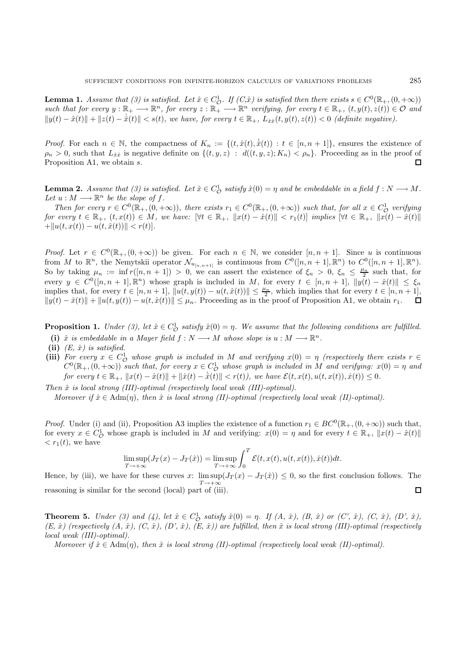**Lemma 1.** Assume that (3) is satisfied. Let  $\hat{x} \in C_0^1$ . If  $(C, \hat{x})$  is satisfied then there exists  $s \in C^0(\mathbb{R}_+, (0, +\infty))$ such that for every  $y : \mathbb{R}_+ \longrightarrow \mathbb{R}^n$ , for every  $z : \mathbb{R}_+ \longrightarrow \mathbb{R}^n$  verifying, for every  $t \in \mathbb{R}_+$ ,  $(t, y(t), z(t)) \in \mathcal{O}$  and  $||y(t) - \hat{x}(t)|| + ||z(t) - \dot{\hat{x}}(t)|| < s(t)$ , we have, for every  $t \in \mathbb{R}_+$ ,  $L_{\hat{x}\hat{x}}(t, y(t), z(t)) < 0$  (definite negative).

*Proof.* For each  $n \in \mathbb{N}$ , the compactness of  $K_n := \{(t, \hat{x}(t), \dot{\hat{x}}(t)) : t \in [n, n+1]\}$ , ensures the existence of  $\rho_n > 0$ , such that  $L_{\dot{x}\dot{x}}$  is negative definite on  $\{(t, y, z): d((t, y, z); K_n) < \rho_n\}$ . Proceeding as in the proof of Proposition A1, we obtain s.  $\Box$ 

**Lemma 2.** Assume that (3) is satisfied. Let  $\hat{x} \in C^1_{\mathcal{O}}$  satisfy  $\hat{x}(0) = \eta$  and be embeddable in a field  $f : N \longrightarrow M$ . Let  $u : M \longrightarrow \mathbb{R}^n$  be the slope of f.

Then for every  $r \in C^0(\mathbb{R}_+, (0, +\infty))$ , there exists  $r_1 \in C^0(\mathbb{R}_+, (0, +\infty))$  such that, for all  $x \in C^1_0$  verifying for every  $t \in \mathbb{R}_+$ ,  $(t, x(t)) \in M$ , we have:  $\forall t \in \mathbb{R}_+$ ,  $||x(t) - \hat{x}(t)|| < r_1(t)$  implies  $\forall t \in \mathbb{R}_+$ ,  $||x(t) - \hat{x}(t)||$ + $||u(t, x(t)) - u(t, \hat{x}(t))|| < r(t)$ .

*Proof.* Let  $r \in C^{0}(\mathbb{R}_{+}, (0, +\infty))$  be given. For each  $n \in \mathbb{N}$ , we consider  $[n, n + 1]$ . Since u is continuous from M to  $\mathbb{R}^n$ , the Nemytskii operator  $\mathcal{N}_{u_{[n,n+1]}}$  is continuous from  $C^0([n,n+1],\mathbb{R}^n)$  to  $C^0([n,n+1],\mathbb{R}^n)$ . So by taking  $\mu_n := \inf r([n, n + 1]) > 0$ , we can assert the existence of  $\xi_n > 0$ ,  $\xi_n \leq \frac{\mu_n}{2}$  such that, for every  $y \in C^{0}([n,n+1], \mathbb{R}^{n})$  whose graph is included in M, for every  $t \in [n,n+1]$ ,  $||y(t) - \hat{x}(t)|| \leq \xi_{n}$ implies that, for every  $t \in [n, n+1]$ ,  $\|u(t, y(t)) - u(t, \hat{x}(t))\| \leq \frac{\mu_n}{2}$ , which implies that for every  $t \in [n, n+1]$ ,  $||y(t) - \hat{x}(t)|| + ||u(t, y(t)) - u(t, \hat{x}(t))|| \leq \mu_n$ . Proceeding as in the proof of Proposition A1, we obtain  $r_1$ .

**Proposition 1.** Under (3), let  $\hat{x} \in C^1_{\mathcal{O}}$  satisfy  $\hat{x}(0) = \eta$ . We assume that the following conditions are fulfilled.

- (i)  $\hat{x}$  is embeddable in a Mayer field  $f : N \longrightarrow M$  whose slope is  $u : M \longrightarrow \mathbb{R}^n$ .
- (ii)  $(E, \hat{x})$  is satisfied.
- (iii) For every  $x \in C^1_{\mathcal{O}}$  whose graph is included in M and verifying  $x(0) = \eta$  (respectively there exists  $r \in C^0_{\mathcal{O}}$ )  $C^0(\mathbb{R}_+, (0, +\infty))$  such that, for every  $x \in C^1_\mathcal{O}$  whose graph is included in M and verifying:  $x(0) = \eta$  and  $for\ every\ t \in \mathbb{R}_+,\ ||x(t)-\hat{x}(t)|| + ||\dot{x}(t)-\dot{\hat{x}}(t)|| < r(t)$ , we have  $\mathcal{E}(t, x(t), u(t, x(t)), \dot{x}(t)) \leq 0$ .

Then  $\hat{x}$  is local strong (III)-optimal (respectively local weak (III)-optimal).

Moreover if  $\hat{x} \in \text{Adm}(\eta)$ , then  $\hat{x}$  is local strong (II)-optimal (respectively local weak (II)-optimal).

*Proof.* Under (i) and (ii), Proposition A3 implies the existence of a function  $r_1 \in BC^0(\mathbb{R}_+, (0, +\infty))$  such that, for every  $x \in C^1_{\mathcal{O}}$  whose graph is included in M and verifying:  $x(0) = \eta$  and for every  $t \in \mathbb{R}_+$ ,  $||x(t) - \hat{x}(t)||$  $\langle r_1(t),\rangle$  we have

$$
\limsup_{T \to +\infty} (J_T(x) - J_T(\hat{x})) = \limsup_{T \to +\infty} \int_0^T \mathcal{E}(t, x(t), u(t, x(t)), \dot{x}(t)) dt.
$$

Hence, by (iii), we have for these curves x:  $\limsup(J_T(x) - J_T(\hat{x})) \leq 0$ , so the first conclusion follows. The  $T\rightarrow+\infty$  $\Box$ reasoning is similar for the second (local) part of (iii).

**Theorem 5.** Under (3) and (4), let  $\hat{x} \in C_0^1$  satisfy  $\hat{x}(0) = \eta$ . If  $(A, \hat{x})$ ,  $(B, \hat{x})$  or  $(C', \hat{x})$ ,  $(C, \hat{x})$ ,  $(D', \hat{x})$ ,  $(D', \hat{x})$ ,  $(D', \hat{x})$  $(E, \hat{x})$  (respectively  $(A, \hat{x})$ ,  $(C, \hat{x})$ ,  $(D', \hat{x})$ ,  $(E, \hat{x})$ ) are fulfilled, then  $\hat{x}$  is local strong (III)-optimal (respectively local weak (III)-optimal).

Moreover if  $\hat{x} \in \text{Adm}(\eta)$ , then  $\hat{x}$  is local strong (II)-optimal (respectively local weak (II)-optimal).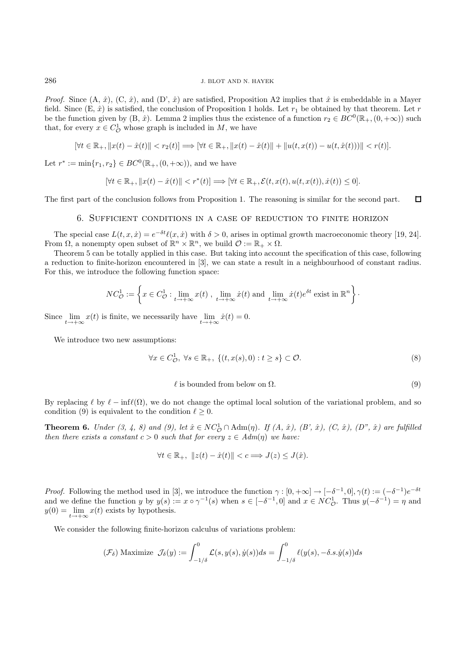*Proof.* Since  $(A, \hat{x})$ ,  $(C, \hat{x})$ , and  $(D', \hat{x})$  are satisfied, Proposition A2 implies that  $\hat{x}$  is embeddable in a Mayer field. Since  $(E, \hat{x})$  is satisfied, the conclusion of Proposition 1 holds. Let  $r_1$  be obtained by that theorem. Let r be the function given by  $(B, \hat{x})$ . Lemma 2 implies thus the existence of a function  $r_2 \in BC^0(\mathbb{R}_+, (0, +\infty))$  such that, for every  $x \in C^1_{\mathcal{O}}$  whose graph is included in  $M$ , we have

$$
[\forall t \in \mathbb{R}_+, \|x(t) - \hat{x}(t)\| < r_2(t)] \Longrightarrow [\forall t \in \mathbb{R}_+, \|x(t) - \hat{x}(t)\| + \|u(t,x(t)) - u(t,\hat{x}(t)))\| < r(t)].
$$

Let  $r^* := \min\{r_1, r_2\} \in BC^0(\mathbb{R}_+, (0, +\infty))$ , and we have

$$
[\forall t\in\mathbb{R}_+, \|x(t)-\hat{x}(t)\| < r^*(t)]\Longrightarrow [\forall t\in\mathbb{R}_+, \mathcal{E}(t,x(t),u(t,x(t)),\dot{x}(t))\leq 0].
$$

The first part of the conclusion follows from Proposition 1. The reasoning is similar for the second part.  $\Box$ 

### 6. Sufficient conditions in a case of reduction to finite horizon

The special case  $L(t, x, \dot{x}) = e^{-\delta t} \ell(x, \dot{x})$  with  $\delta > 0$ , arises in optimal growth macroeconomic theory [19, 24]. From  $\Omega$ , a nonempty open subset of  $\mathbb{R}^n \times \mathbb{R}^n$ , we build  $\mathcal{O} := \mathbb{R}_+ \times \Omega$ .

Theorem 5 can be totally applied in this case. But taking into account the specification of this case, following a reduction to finite-horizon encountered in [3], we can state a result in a neighbourhood of constant radius. For this, we introduce the following function space:

$$
NC_{\mathcal{O}}^1 := \left\{ x \in C_{\mathcal{O}}^1 : \lim_{t \to +\infty} x(t) , \lim_{t \to +\infty} \dot{x}(t) \text{ and } \lim_{t \to +\infty} \dot{x}(t) e^{\delta t} \text{ exist in } \mathbb{R}^n \right\}.
$$

Since  $\lim_{t\to+\infty} x(t)$  is finite, we necessarily have  $\lim_{t\to+\infty} \dot{x}(t)=0$ .

We introduce two new assumptions:

$$
\forall x \in C^1_{\mathcal{O}}, \ \forall s \in \mathbb{R}_+, \ \{ (t, x(s), 0) : t \ge s \} \subset \mathcal{O}.
$$
\n
$$
(8)
$$

#### $\ell$  is bounded from below on  $\Omega$ . (9)

By replacing  $\ell$  by  $\ell - \inf\ell(\Omega)$ , we do not change the optimal local solution of the variational problem, and so condition (9) is equivalent to the condition  $\ell > 0$ .

**Theorem 6.** Under  $(3, 4, 8)$  and  $(9)$ , let  $\hat{x} \in NC^1_{\mathcal{O}} \cap \text{Adm}(\eta)$ . If  $(A, \hat{x})$ ,  $(B, \hat{x})$ ,  $(C, \hat{x})$ ,  $(D'', \hat{x})$  are fulfilled then there exists a constant  $c > 0$  such that for every  $z \in Adm(\eta)$  we have:

$$
\forall t \in \mathbb{R}_+, \ \|z(t) - \hat{x}(t)\| < c \Longrightarrow J(z) \le J(\hat{x}).
$$

*Proof.* Following the method used in [3], we introduce the function  $\gamma : [0, +\infty] \to [-\delta^{-1}, 0], \gamma(t) := (-\delta^{-1})e^{-\delta t}$ and we define the function y by  $y(s) := x \circ \gamma^{-1}(s)$  when  $s \in [-\delta^{-1}, 0]$  and  $x \in NC^1_{\mathcal{O}}$ . Thus  $y(-\delta^{-1}) = \eta$  and  $y(0) = \lim_{t \to +\infty} x(t)$  exists by hypothesis.

We consider the following finite-horizon calculus of variations problem:

$$
(\mathcal{F}_{\delta}) \text{ Maximize } \mathcal{J}_{\delta}(y) := \int_{-1/\delta}^{0} \mathcal{L}(s, y(s), \dot{y}(s)) ds = \int_{-1/\delta}^{0} \ell(y(s), -\delta.s. \dot{y}(s)) ds
$$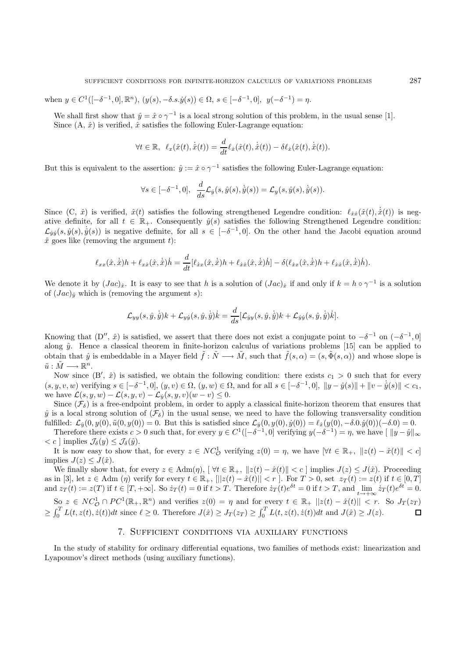when  $y \in C^1([-\delta^{-1}, 0], \mathbb{R}^n)$ ,  $(y(s), -\delta.s.\dot{y}(s)) \in \Omega$ ,  $s \in [-\delta^{-1}, 0]$ ,  $y(-\delta^{-1}) = \eta$ .

We shall first show that  $\hat{y} = \hat{x} \circ \gamma^{-1}$  is a local strong solution of this problem, in the usual sense [1]. Since  $(A, \hat{x})$  is verified,  $\hat{x}$  satisfies the following Euler-Lagrange equation:

$$
\forall t \in \mathbb{R}, \ \ell_x(\hat{x}(t), \dot{\hat{x}}(t)) = \frac{d}{dt} \ell_{\dot{x}}(\hat{x}(t), \dot{\hat{x}}(t)) - \delta \ell_{\dot{x}}(\hat{x}(t), \dot{\hat{x}}(t)).
$$

But this is equivalent to the assertion:  $\hat{y} := \hat{x} \circ \gamma^{-1}$  satisfies the following Euler-Lagrange equation:

$$
\forall s \in [-\delta^{-1},0], \quad \frac{d}{ds} \mathcal{L}_{\dot{y}}(s,\dot{y}(s),\dot{\dot{y}}(s)) = \mathcal{L}_{y}(s,\dot{y}(s),\dot{\dot{y}}(s)).
$$

Since  $(C, \hat{x})$  is verified,  $\hat{x}(t)$  satisfies the following strengthened Legendre condition:  $\ell_{\dot{x}\dot{x}}(\hat{x}(t), \dot{\hat{x}}(t))$  is negative definite, for all  $t \in \mathbb{R}_+$ . Consequently  $\hat{y}(s)$  satisfies the following Strengthened Legendre condition:  $\mathcal{L}_{\dot{y}\dot{y}}(s,\hat{y}(s),\dot{\hat{y}}(s))$  is negative definite, for all  $s \in [-\delta^{-1},0]$ . On the other hand the Jacobi equation around  $\hat{x}$  goes like (removing the argument t):

$$
\ell_{xx}(\hat{x},\dot{\hat{x}})h + \ell_{xx}(\hat{x},\dot{\hat{x}})\dot{h} = \frac{d}{dt}[\ell_{\hat{x}x}(\hat{x},\dot{\hat{x}})h + \ell_{\hat{x}\hat{x}}(\hat{x},\dot{\hat{x}})\dot{h}] - \delta(\ell_{\hat{x}x}(\hat{x},\dot{\hat{x}})h + \ell_{\hat{x}\hat{x}}(\hat{x},\dot{\hat{x}})\dot{h}).
$$

We denote it by  $(Jac)_{\hat{x}}$ . It is easy to see that h is a solution of  $(Jac)_{\hat{x}}$  if and only if  $k = h \circ \gamma^{-1}$  is a solution of  $(Jac)_{\hat{y}}$  which is (removing the argument s):

$$
\mathcal{L}_{yy}(s,\hat{y},\dot{\hat{y}})k + \mathcal{L}_{y\dot{y}}(s,\hat{y},\dot{\hat{y}})\dot{k} = \frac{d}{ds}[\mathcal{L}_{\dot{y}y}(s,\hat{y},\dot{\hat{y}})k + \mathcal{L}_{\dot{y}\dot{y}}(s,\hat{y},\dot{\hat{y}})\dot{k}].
$$

Knowing that  $(D'', \hat{x})$  is satisfied, we assert that there does not exist a conjugate point to  $-\delta^{-1}$  on  $(-\delta^{-1}, 0]$ along  $\hat{y}$ . Hence a classical theorem in finite-horizon calculus of variations problems [15] can be applied to obtain that  $\hat{y}$  is embeddable in a Mayer field  $\tilde{f}: \tilde{N} \longrightarrow \tilde{M}$ , such that  $\tilde{f}(s, \alpha) = (s, \tilde{\Phi}(s, \alpha))$  and whose slope is  $\tilde{u}: \tilde{M} \longrightarrow \mathbb{R}^n$ .

Now since  $(B', \hat{x})$  is satisfied, we obtain the following condition: there exists  $c_1 > 0$  such that for every  $(s, y, v, w)$  verifying  $s \in [-\delta^{-1}, 0], (y, v) \in \Omega, (y, w) \in \Omega$ , and for all  $s \in [-\delta^{-1}, 0], ||y - \hat{y}(s)|| + ||v - \dot{y}(s)|| < c_1$ , we have  $\mathcal{L}(s, y, w) - \mathcal{L}(s, y, v) - \mathcal{L}_y(s, y, v)(w - v) \leq 0.$ 

Since  $(\mathcal{F}_{\delta})$  is a free-endpoint problem, in order to apply a classical finite-horizon theorem that ensures that  $\hat{y}$  is a local strong solution of  $(\mathcal{F}_{\delta})$  in the usual sense, we need to have the following transversality condition fulfilled:  $\mathcal{L}_y(0, y(0), \tilde{u}(0, y(0)) = 0$ . But this is satisfied since  $\mathcal{L}_y(0, y(0), \dot{y}(0)) = \ell_x(y(0), -\delta \cdot 0 \cdot \dot{y}(0))(-\delta \cdot 0) = 0$ .

Therefore there exists  $c > 0$  such that, for every  $y \in C^1([-\delta^{-1},0])$  verifying  $y(-\delta^{-1}) = \eta$ , we have  $\|y - \hat{y}\|_{\infty}$  $\langle c \rangle$  implies  $\mathcal{J}_{\delta}(y) \leq \mathcal{J}_{\delta}(\hat{y})$ .

It is now easy to show that, for every  $z \in NC^1_{\mathcal{O}}$  verifying  $z(0) = \eta$ , we have  $|\forall t \in \mathbb{R}_+$ ,  $||z(t) - \hat{x}(t)|| < c$ implies  $J(z) \leq J(\hat{x})$ .

We finally show that, for every  $z \in \text{Adm}(\eta)$ ,  $\forall t \in \mathbb{R}_+$ ,  $||z(t) - \hat{x}(t)|| < c$  ] implies  $J(z) \leq J(\hat{x})$ . Proceeding as in [3], let  $z \in \text{Adm}(\eta)$  verify for every  $t \in \mathbb{R}_+$ ,  $[||z(t) - \hat{x}(t)|| < r$ ]. For  $T > 0$ , set  $z_T(t) := z(t)$  if  $t \in [0, T]$ and  $z_T(t) := z(T)$  if  $t \in [T, +\infty]$ . So  $\dot{z}_T(t) = 0$  if  $t > T$ . Therefore  $\dot{z}_T(t)e^{\delta t} = 0$  if  $t > T$ , and  $\lim_{t \to +\infty} \dot{z}_T(t)e^{\delta t} = 0$ .

 $\text{So } z \in NC^1_{\mathcal{O}} \cap PC^1(\mathbb{R}_+, \mathbb{R}^n)$  and verifies  $z(0) = \eta$  and for every  $t \in \mathbb{R}_+ ||z(t) - \hat{x}(t)|| < r$ . So  $J_T(z_T)$  $\geq \int_0^T L(t, z(t), \dot{z}(t))dt$  since  $\ell \geq 0$ . Therefore  $J(\hat{x}) \geq J_T(z_T) \geq \int_0^T L(t, z(t), \dot{z}(t))dt$  and  $J(\hat{x}) \geq J(z)$ .

### 7. Sufficient conditions via auxiliary functions

In the study of stability for ordinary differential equations, two families of methods exist: linearization and Lyapounov's direct methods (using auxiliary functions).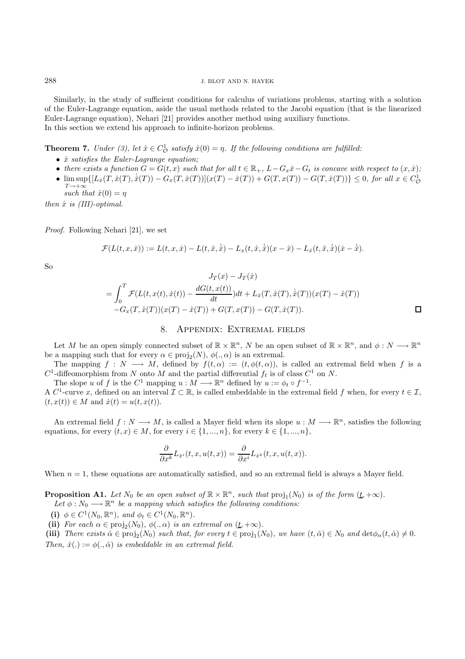Similarly, in the study of sufficient conditions for calculus of variations problems, starting with a solution of the Euler-Lagrange equation, aside the usual methods related to the Jacobi equation (that is the linearized Euler-Lagrange equation), Nehari [21] provides another method using auxiliary functions. In this section we extend his approach to infinite-horizon problems.

**Theorem 7.** Under (3), let  $\hat{x} \in C^1_{\mathcal{O}}$  satisfy  $\hat{x}(0) = \eta$ . If the following conditions are fulfilled:

- $\hat{x}$  satisfies the Euler-Lagrange equation;
- there exists a function  $G = G(t, x)$  such that for all  $t \in \mathbb{R}_+$ ,  $L G_x\dot{x} G_t$  is concave with respect to  $(x, \dot{x})$ ;
- $\limsup_{T \to +\infty} \{ [L_x(T, \hat{x}(T), \dot{\hat{x}}(T)) G_x(T, \hat{x}(T))] (x(T) \hat{x}(T)) + G(T, x(T)) G(T, \hat{x}(T)) \} \leq 0$ , for all  $x \in C^1_{\mathcal{O}}$  $T\rightarrow+\infty$ 
	- such that  $\hat{x}(0) = \eta$

then  $\hat{x}$  is (III)-optimal.

Proof. Following Nehari [21], we set

$$
\mathcal{F}(L(t, x, \dot{x})) := L(t, x, \dot{x}) - L(t, \hat{x}, \dot{\hat{x}}) - L_x(t, \hat{x}, \dot{\hat{x}})(x - \hat{x}) - L_{\dot{x}}(t, \hat{x}, \dot{\hat{x}})(\dot{x} - \dot{\hat{x}}).
$$

So

$$
J_T(x) - J_T(\hat{x})
$$
  
=  $\int_0^T \mathcal{F}(L(t, x(t), \dot{x}(t)) - \frac{dG(t, x(t))}{dt})dt + L_{\dot{x}}(T, \hat{x}(T), \dot{\hat{x}}(T))(x(T) - \hat{x}(T))$   
- $G_x(T, \hat{x}(T))(x(T) - \hat{x}(T)) + G(T, x(T)) - G(T, \hat{x}(T)).$ 

### 8. Appendix: Extremal fields

Let M be an open simply connected subset of  $\mathbb{R} \times \mathbb{R}^n$ , N be an open subset of  $\mathbb{R} \times \mathbb{R}^n$ , and  $\phi: N \longrightarrow \mathbb{R}^n$ be a mapping such that for every  $\alpha \in \text{proj}_2(N)$ ,  $\phi(., \alpha)$  is an extremal.

The mapping  $f: N \longrightarrow M$ , defined by  $f(t, \alpha) := (t, \phi(t, \alpha))$ , is called an extremal field when f is a  $C^1$ -diffeomorphism from N onto M and the partial differential  $f_t$  is of class  $C^1$  on N.

The slope u of f is the  $C^1$  mapping  $u : M \longrightarrow \mathbb{R}^n$  defined by  $u := \phi_t \circ f^{-1}$ .

A C<sup>1</sup>-curve x, defined on an interval  $\mathcal{I} \subset \mathbb{R}$ , is called embeddable in the extremal field f when, for every  $t \in \mathcal{I}$ ,  $(t, x(t)) \in M$  and  $\dot{x}(t) = u(t, x(t)).$ 

An extremal field  $f: N \longrightarrow M$ , is called a Mayer field when its slope  $u: M \longrightarrow \mathbb{R}^n$ , satisfies the following equations, for every  $(t, x) \in M$ , for every  $i \in \{1, ..., n\}$ , for every  $k \in \{1, ..., n\}$ ,

$$
\frac{\partial}{\partial x^k} L_{\dot{x}^i}(t, x, u(t, x)) = \frac{\partial}{\partial x^i} L_{\dot{x}^k}(t, x, u(t, x)).
$$

When  $n = 1$ , these equations are automatically satisfied, and so an extremal field is always a Mayer field.

**Proposition A1.** Let  $N_0$  be an open subset of  $\mathbb{R} \times \mathbb{R}^n$ , such that  $proj_1(N_0)$  is of the form  $(\underline{t}, +\infty)$ .

Let  $\phi : N_0 \longrightarrow \mathbb{R}^n$  be a mapping which satisfies the following conditions:

**(i)**  $\phi \in C^1(N_0, \mathbb{R}^n)$ , and  $\phi_t \in C^1(N_0, \mathbb{R}^n)$ .

(ii) For each  $\alpha \in \text{proj}_2(N_0)$ ,  $\phi(., \alpha)$  is an extremal on  $(\underline{t}, +\infty)$ .

(iii) There exists  $\hat{\alpha} \in \text{proj}_2(N_0)$  such that, for every  $t \in \text{proj}_1(N_0)$ , we have  $(t, \hat{\alpha}) \in N_0$  and  $\det \phi_\alpha(t, \hat{\alpha}) \neq 0$ . Then,  $\hat{x}(.) := \phi(., \hat{\alpha})$  is embeddable in an extremal field.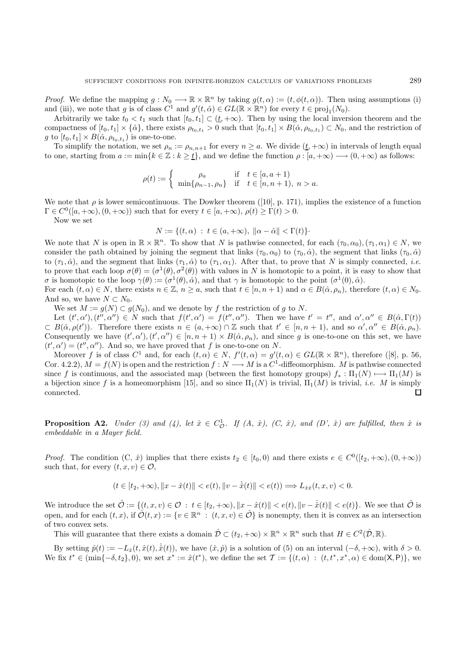*Proof.* We define the mapping  $g: N_0 \longrightarrow \mathbb{R} \times \mathbb{R}^n$  by taking  $g(t, \alpha) := (t, \phi(t, \alpha))$ . Then using assumptions (i) and (iii), we note that g is of class  $C^1$  and  $g'(t, \hat{\alpha}) \in GL(\mathbb{R} \times \mathbb{R}^n)$  for every  $t \in \text{proj}_1(N_0)$ .

Arbitrarily we take  $t_0 < t_1$  such that  $[t_0, t_1] \subset (\underline{t}, +\infty)$ . Then by using the local inversion theorem and the compactness of  $[t_0, t_1] \times {\hat{\alpha}}$ , there exists  $\rho_{t_0, t_1} > 0$  such that  $[t_0, t_1] \times B(\hat{\alpha}, \rho_{t_0, t_1}) \subset N_0$ , and the restriction of g to  $[t_0, t_1] \times B(\hat{\alpha}, \rho_{t_0, t_1})$  is one-to-one.

To simplify the notation, we set  $\rho_n := \rho_{n,n+1}$  for every  $n \geq a$ . We divide  $(t, +\infty)$  in intervals of length equal to one, starting from  $a := \min\{k \in \mathbb{Z} : k \geq \underline{t}\}$ , and we define the function  $\rho : [a, +\infty) \longrightarrow (0, +\infty)$  as follows:

$$
\rho(t) := \begin{cases} \rho_a & \text{if } t \in [a, a+1) \\ \min\{\rho_{n-1}, \rho_n\} & \text{if } t \in [n, n+1), n > a. \end{cases}
$$

We note that  $\rho$  is lower semicontinuous. The Dowker theorem ([10], p. 171), implies the existence of a function  $\Gamma \in C^0([a, +\infty), (0, +\infty))$  such that for every  $t \in [a, +\infty), \rho(t) > \Gamma(t) > 0$ .

Now we set

$$
N := \{(t, \alpha) : t \in (a, +\infty), \ \|\alpha - \hat{\alpha}\| < \Gamma(t)\}.
$$

We note that N is open in  $\mathbb{R} \times \mathbb{R}^n$ . To show that N is pathwise connected, for each  $(\tau_0, \alpha_0), (\tau_1, \alpha_1) \in N$ , we consider the path obtained by joining the segment that links  $(\tau_0, \alpha_0)$  to  $(\tau_0, \hat{\alpha})$ , the segment that links  $(\tau_0, \hat{\alpha})$ to  $(\tau_1, \hat{\alpha})$ , and the segment that links  $(\tau_1, \hat{\alpha})$  to  $(\tau_1, \alpha_1)$ . After that, to prove that N is simply connected, *i.e.* to prove that each loop  $\sigma(\theta)=(\sigma^1(\theta), \sigma^2(\theta))$  with values in N is homotopic to a point, it is easy to show that σ is homotopic to the loop  $\gamma(\theta) := (\sigma^1(\theta), \hat{\alpha})$ , and that  $\gamma$  is homotopic to the point  $(\sigma^1(0), \hat{\alpha})$ .

For each  $(t, \alpha) \in N$ , there exists  $n \in \mathbb{Z}$ ,  $n \ge a$ , such that  $t \in [n, n + 1)$  and  $\alpha \in B(\hat{\alpha}, \rho_n)$ , therefore  $(t, \alpha) \in N_0$ . And so, we have  $N \subset N_0$ .

We set  $M := g(N) \subset g(N_0)$ , and we denote by f the restriction of g to N.

Let  $(t', \alpha'), (t'', \alpha'') \in N$  such that  $f(t', \alpha') = f(t'', \alpha'')$ . Then we have  $t' = t''$ , and  $\alpha', \alpha'' \in B(\hat{\alpha}, \Gamma(t))$  $\subset B(\hat{\alpha}, \rho(t'))$ . Therefore there exists  $n \in (a, +\infty) \cap \mathbb{Z}$  such that  $t' \in [n, n + 1)$ , and so  $\alpha', \alpha'' \in B(\hat{\alpha}, \rho_n)$ . Consequently we have  $(t', \alpha'), (t', \alpha'') \in [n, n + 1) \times B(\hat{\alpha}, \rho_n)$ , and since g is one-to-one on this set, we have  $(t', \alpha') = (t'', \alpha'')$ . And so, we have proved that f is one-to-one on N.

Moreover f is of class  $C^1$  and, for each  $(t, \alpha) \in N$ ,  $f'(t, \alpha) = g'(t, \alpha) \in GL(\mathbb{R} \times \mathbb{R}^n)$ , therefore ([8], p. 56, Cor. 4.2.2),  $M = f(N)$  is open and the restriction  $f: N \longrightarrow M$  is a  $C^1$ -diffeomorphism. M is pathwise connected since f is continuous, and the associated map (between the first homotopy groups)  $f_* : \Pi_1(N) \longmapsto \Pi_1(M)$  is a bijection since f is a homeomorphism [15], and so since  $\Pi_1(N)$  is trivial,  $\Pi_1(M)$  is trivial, *i.e.* M is simply connected.  $\Box$ 

**Proposition A2.** Under (3) and (4), let  $\hat{x} \in C^1_{\mathcal{O}}$ . If  $(A, \hat{x})$ ,  $(C, \hat{x})$ , and  $(D', \hat{x})$  are fulfilled, then  $\hat{x}$  is embeddable in a Mayer field.

*Proof.* The condition  $(C, \hat{x})$  implies that there exists  $t_2 \in [t_0, 0)$  and there exists  $e \in C^0([t_2, +\infty), (0, +\infty))$ such that, for every  $(t, x, v) \in \mathcal{O}$ ,

$$
(t\in [t_2,+\infty),\|x-\hat{x}(t)\|
$$

We introduce the set  $\hat{\mathcal{O}} := \{(t, x, v) \in \mathcal{O} : t \in [t_2, +\infty), \|x - \hat{x}(t)\| < e(t), \|v - \dot{\hat{x}}(t)\| < e(t)\}.$  We see that  $\hat{\mathcal{O}}$  is open, and for each  $(t, x)$ , if  $\hat{\mathcal{O}}(t, x) := \{v \in \mathbb{R}^n : (t, x, v) \in \hat{\mathcal{O}}\}$  is nonempty, then it is convex as an intersection of two convex sets.

This will guarantee that there exists a domain  $\hat{\mathcal{D}} \subset (t_2, +\infty) \times \mathbb{R}^n \times \mathbb{R}^n$  such that  $H \in C^2(\hat{\mathcal{D}}, \mathbb{R})$ .

By setting  $\hat{p}(t) := -L_{\dot{x}}(t, \hat{x}(t), \dot{\hat{x}}(t))$ , we have  $(\hat{x}, \hat{p})$  is a solution of (5) on an interval  $(-\delta, +\infty)$ , with  $\delta > 0$ . We fix  $t^* \in (\min\{-\delta, t_2\}, 0)$ , we set  $x^* := \hat{x}(t^*)$ , we define the set  $\mathcal{T} := \{(t, \alpha) : (t, t^*, x^*, \alpha) \in \text{dom}(\mathsf{X}, \mathsf{P})\}$ , we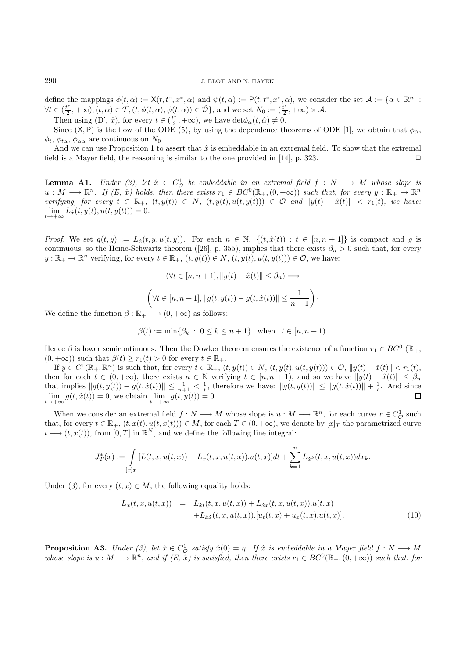### 290 J. BLOT AND N. HAYEK

define the mappings  $\phi(t,\alpha) := \mathsf{X}(t, t^*, x^*, \alpha)$  and  $\psi(t,\alpha) := \mathsf{P}(t, t^*, x^*, \alpha)$ , we consider the set  $\mathcal{A} := \{ \alpha \in \mathbb{R}^n :$  $\forall t \in (\frac{t^*}{2}, +\infty), (t, \alpha) \in \mathcal{T}, (t, \phi(t, \alpha), \psi(t, \alpha)) \in \hat{\mathcal{D}}\}$ , and we set  $N_0 := (\frac{t^*}{2}, +\infty) \times \mathcal{A}$ .

Then using (D',  $\hat{x}$ ), for every  $t \in (\frac{t^*}{2}, +\infty)$ , we have  $\det \phi_\alpha(t, \hat{\alpha}) \neq 0$ .

Since  $(X, P)$  is the flow of the ODE (5), by using the dependence theorems of ODE [1], we obtain that  $\phi_{\alpha}$ ,  $\phi_t$ ,  $\phi_{t\alpha}$ ,  $\phi_{\alpha\alpha}$  are continuous on  $N_0$ .

And we can use Proposition 1 to assert that  $\hat{x}$  is embeddable in an extremal field. To show that the extremal field is a Mayer field, the reasoning is similar to the one provided in [14], p. 323.  $\Box$ 

**Lemma A1.** Under (3), let  $\hat{x} \in C_0^1$  be embeddable in an extremal field  $f : N \longrightarrow M$  whose slope is  $u : M \longrightarrow \mathbb{R}^n$ . If  $(E, \hat{x})$  holds, then there exists  $r_1 \in BC^0(\mathbb{R}_+, (0, +\infty))$  such that, for every  $y : \mathbb{R}_+ \to \mathbb{R}^n$ verifying, for every  $t \in \mathbb{R}_+$ ,  $(t, y(t)) \in N$ ,  $(t, y(t), u(t, y(t))) \in \mathcal{O}$  and  $||y(t) - \hat{x}(t)|| < r_1(t)$ , we have:  $\lim_{t \to +\infty} L_x(t, y(t), u(t, y(t))) = 0.$ 

Proof. We set  $g(t, y) := L_x(t, y, u(t, y))$ . For each  $n \in \mathbb{N}$ ,  $\{(t, \hat{x}(t)) : t \in [n, n + 1]\}$  is compact and g is continuous, so the Heine-Schwartz theorem ([26], p. 355), implies that there exists  $\beta_n > 0$  such that, for every  $y: \mathbb{R}_+ \to \mathbb{R}^n$  verifying, for every  $t \in \mathbb{R}_+$ ,  $(t, y(t)) \in N$ ,  $(t, y(t), u(t, y(t))) \in \mathcal{O}$ , we have:

$$
(\forall t \in [n, n+1], ||y(t) - \hat{x}(t)|| \leq \beta_n) \Longrightarrow
$$
  

$$
\left(\forall t \in [n, n+1], ||g(t, y(t)) - g(t, \hat{x}(t))|| \leq \frac{1}{n+1}\right)
$$

·

We define the function  $\beta : \mathbb{R}_+ \longrightarrow (0, +\infty)$  as follows:

$$
\beta(t) := \min\{\beta_k : 0 \le k \le n+1\} \text{ when } t \in [n, n+1).
$$

Hence  $\beta$  is lower semicontinuous. Then the Dowker theorem ensures the existence of a function  $r_1 \in BC^0$  ( $\mathbb{R}_+$ ,  $(0, +\infty)$ ) such that  $\beta(t) \ge r_1(t) > 0$  for every  $t \in \mathbb{R}_+$ .

If  $y \in C^1(\mathbb{R}_+, \mathbb{R}^n)$  is such that, for every  $t \in \mathbb{R}_+$ ,  $(t, y(t)) \in N$ ,  $(t, y(t), u(t, y(t))) \in \mathcal{O}$ ,  $||y(t) - \hat{x}(t)|| < r_1(t)$ , then for each  $t \in (0, +\infty)$ , there exists  $n \in \mathbb{N}$  verifying  $t \in [n, n + 1)$ , and so we have  $||y(t) - \hat{x}(t)|| \leq \beta_n$ that implies  $||g(t, y(t)) - g(t, \hat{x}(t))|| \le \frac{1}{n+1} < \frac{1}{t}$ , therefore we have:  $||g(t, y(t))|| \le ||g(t, \hat{x}(t))|| + \frac{1}{t}$ . And since  $\lim_{t \to +\infty} g(t, \hat{x}(t)) = 0$ , we obtain  $\lim_{t \to +\infty} g(t, y(t)) = 0$ .

When we consider an extremal field  $f : N \longrightarrow M$  whose slope is  $u : M \longrightarrow \mathbb{R}^n$ , for each curve  $x \in C^1_{\mathcal{O}}$  such that, for every  $t \in \mathbb{R}_+$ ,  $(t, x(t), u(t, x(t))) \in M$ , for each  $T \in (0, +\infty)$ , we denote by  $[x]_T$  the parametrized curve  $t \longmapsto (t, x(t)),$  from  $[0, T]$  in  $\mathbb{R}^N$ , and we define the following line integral:

$$
J_T^*(x):=\int\limits_{[x]_T}[L(t,x,u(t,x))-L_{\dot{x}}(t,x,u(t,x)).u(t,x)]dt+\sum\limits_{k=1}^nL_{\dot{x}^k}(t,x,u(t,x))dx_k.
$$

Under (3), for every  $(t, x) \in M$ , the following equality holds:

$$
L_x(t, x, u(t, x)) = L_{\dot{x}t}(t, x, u(t, x)) + L_{\dot{x}x}(t, x, u(t, x)).u(t, x) + L_{\dot{x}\dot{x}}(t, x, u(t, x)).[u_t(t, x) + u_x(t, x).u(t, x)].
$$
\n(10)

**Proposition A3.** Under (3), let  $\hat{x} \in C_0^1$  satisfy  $\hat{x}(0) = \eta$ . If  $\hat{x}$  is embeddable in a Mayer field  $f : N \longrightarrow M$ whose slope is  $u : M \longrightarrow \mathbb{R}^n$ , and if  $(E, \hat{x})$  is satisfied, then there exists  $r_1 \in BC^0(\mathbb{R}_+, (0, +\infty))$  such that, for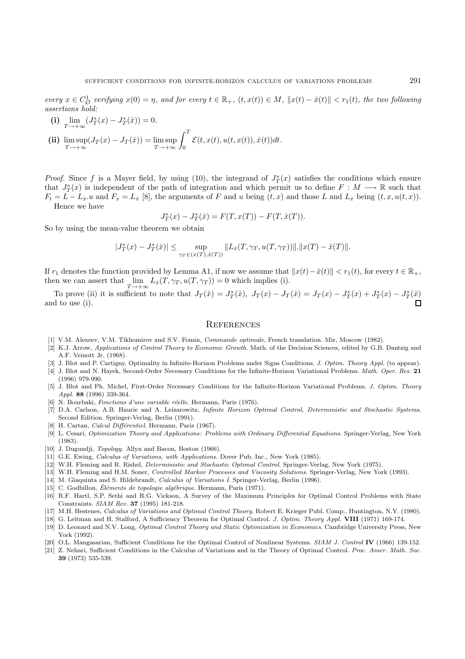every  $x \in C_0^1$  verifying  $x(0) = \eta$ , and for every  $t \in \mathbb{R}_+$ ,  $(t, x(t)) \in M$ ,  $||x(t) - \hat{x}(t)|| < r_1(t)$ , the two following assertions hold:

(i) 
$$
\lim_{T \to +\infty} (J_T^*(x) - J_T^*(\hat{x})) = 0.
$$
  
\n(ii) 
$$
\limsup_{T \to +\infty} (J_T(x) - J_T(\hat{x})) = \limsup_{T \to +\infty} \int_0^T \mathcal{E}(t, x(t), u(t, x(t)), \dot{x}(t)) dt.
$$

*Proof.* Since f is a Mayer field, by using (10), the integrand of  $J_T^*(x)$  satisfies the conditions which ensure that  $J_T^*(x)$  is independent of the path of integration and which permit us to define  $F : M \longrightarrow \mathbb{R}$  such that  $F_t = L - L_x \cdot u$  and  $F_x = L_x$  [8], the arguments of F and u being  $(t, x)$  and those L and  $L_x$  being  $(t, x, u(t, x))$ . Hence we have

$$
J_T^*(x) - J_T^*(\hat{x}) = F(T, x(T)) - F(T, \hat{x}(T)).
$$

So by using the mean-value theorem we obtain

$$
|J_T^*(x) - J_T^*(\hat{x})| \le \sup_{\gamma_T \in (x(T), \hat{x}(T))} ||L_{\hat{x}}(T, \gamma_T, u(T, \gamma_T))|| \cdot ||x(T) - \hat{x}(T)||.
$$

If r<sub>1</sub> denotes the function provided by Lemma A1, if now we assume that  $||x(t)-\hat{x}(t)|| < r_1(t)$ , for every  $t \in \mathbb{R}_+$ , then we can assert that  $\lim_{T \to +\infty} L_x(T, \gamma_T, u(T, \gamma_T)) = 0$  which implies (i).

To prove (ii) it is sufficient to note that  $J_T(\hat{x}) = J_T^*(\hat{x})$ ,  $J_T(x) - J_T(\hat{x}) = J_T(x) - J_T^*(x) + J_T^*(x) - J_T^*(\hat{x})$ and to use (i).

#### **REFERENCES**

- [1] V.M. Alexeev, V.M. Tikhomirov and S.V. Fomin, Commande optimale, French translation. Mir, Moscow (1982).
- [2] K.J. Arrow, Applications of Control Theory to Economic Growth. Math. of the Decision Sciences, edited by G.B. Dantzig and A.F. Veinott Jr. (1968).
- [3] J. Blot and P. Cartigny, Optimality in Infinite-Horizon Problems under Signs Conditions. J. Optim. Theory Appl. (to appear).
- [4] J. Blot and N. Hayek, Second-Order Necessary Conditions for the Infinite-Horizon Variational Problems. Math. Oper. Res. **21** (1996) 979-990.
- [5] J. Blot and Ph. Michel, First-Order Necessary Conditions for the Infinite-Horizon Variational Problems. J. Optim. Theory Appl. **88** (1996) 339-364.
- [6] N. Bourbaki, Fonctions d'une variable réelle. Hermann, Paris (1976).
- [7] D.A. Carlson, A.B. Haurie and A. Leizarowitz, Infinite Horizon Optimal Control, Deterministic and Stochastic Systems, Second Edition. Springer-Verlag, Berlin (1991).
- [8] H. Cartan, *Calcul Différentiel*. Hermann, Paris (1967).
- [9] L. Cesari, Optimization Theory and Applications: Problems with Ordinary Differential Equations. Springer-Verlag, New York (1983).
- [10] J. Dugundji, Topology. Allyn and Bacon, Boston (1966).
- [11] G.E. Ewing, Calculus of Variations, with Applications. Dover Pub. Inc., New York (1985).
- [12] W.H. Fleming and R. Rishel, Deterministic and Stochastic Optimal Control. Springer-Verlag, New York (1975).
- [13] W.H. Fleming and H.M. Soner, Controlled Markov Processes and Viscosity Solutions. Springer-Verlag, New York (1993).
- [14] M. Giaquinta and S. Hildebrandt, Calculus of Variations I. Springer-Verlag, Berlin (1996).
- [15] C. Godbillon, Éléments de topologie algébrique. Hermann, Paris (1971).
- [16] R.F. Hartl, S.P. Sethi and R.G. Vickson, A Survey of the Maximum Principles for Optimal Control Problems with State Constraints. SIAM Rev. **37** (1995) 181-218.
- [17] M.H. Hestenes, Calculus of Variations and Optimal Control Theory. Robert E. Krieger Publ. Comp., Huntington, N.Y. (1980).
- [18] G. Leitman and H. Stalford, A Sufficiency Theorem for Optimal Control. J. Optim. Theory Appl. **VIII** (1971) 169-174.
- [19] D. Leonard and N.V. Long, Optimal Control Theory and Static Optimization in Economics. Cambridge University Press, New York (1992).
- [20] O.L. Mangasarian, Sufficient Conditions for the Optimal Control of Nonlinear Systems. SIAM J. Control **IV** (1966) 139-152.
- [21] Z. Nehari, Sufficient Conditions in the Calculus of Variations and in the Theory of Optimal Control. Proc. Amer. Math. Soc. **39** (1973) 535-539.